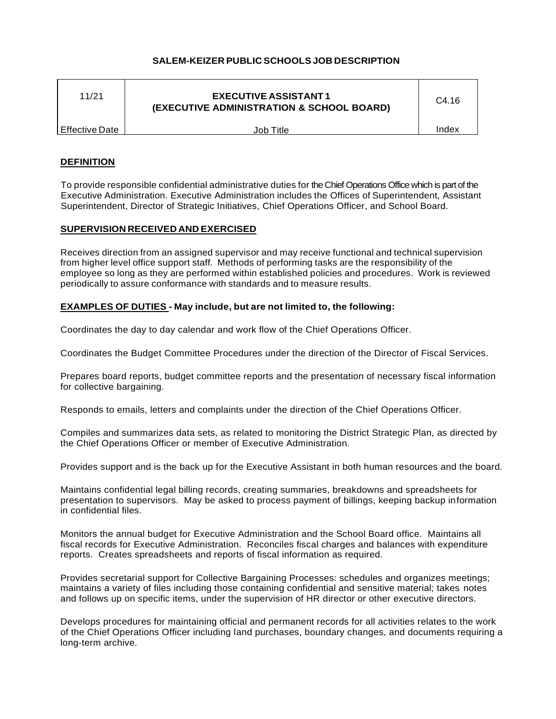# **SALEM-KEIZER PUBLIC SCHOOLS JOB DESCRIPTION**

| 11/21          | <b>EXECUTIVE ASSISTANT1</b><br>(EXECUTIVE ADMINISTRATION & SCHOOL BOARD) | C <sub>4.16</sub> |
|----------------|--------------------------------------------------------------------------|-------------------|
| Effective Date | Job Title                                                                | Index             |
|                |                                                                          |                   |

## **DEFINITION**

To provide responsible confidential administrative duties for the Chief Operations Office which is part of the Executive Administration. Executive Administration includes the Offices of Superintendent, Assistant Superintendent, Director of Strategic Initiatives, Chief Operations Officer, and School Board.

## **SUPERVISION RECEIVED AND EXERCISED**

Receives direction from an assigned supervisor and may receive functional and technical supervision from higher level office support staff. Methods of performing tasks are the responsibility of the employee so long as they are performed within established policies and procedures. Work is reviewed periodically to assure conformance with standards and to measure results.

## **EXAMPLES OF DUTIES - May include, but are not limited to, the following:**

Coordinates the day to day calendar and work flow of the Chief Operations Officer.

Coordinates the Budget Committee Procedures under the direction of the Director of Fiscal Services.

Prepares board reports, budget committee reports and the presentation of necessary fiscal information for collective bargaining.

Responds to emails, letters and complaints under the direction of the Chief Operations Officer.

Compiles and summarizes data sets, as related to monitoring the District Strategic Plan, as directed by the Chief Operations Officer or member of Executive Administration.

Provides support and is the back up for the Executive Assistant in both human resources and the board.

Maintains confidential legal billing records, creating summaries, breakdowns and spreadsheets for presentation to supervisors. May be asked to process payment of billings, keeping backup information in confidential files.

Monitors the annual budget for Executive Administration and the School Board office. Maintains all fiscal records for Executive Administration. Reconciles fiscal charges and balances with expenditure reports. Creates spreadsheets and reports of fiscal information as required.

Provides secretarial support for Collective Bargaining Processes: schedules and organizes meetings; maintains a variety of files including those containing confidential and sensitive material; takes notes and follows up on specific items, under the supervision of HR director or other executive directors.

Develops procedures for maintaining official and permanent records for all activities relates to the work of the Chief Operations Officer including land purchases, boundary changes, and documents requiring a long-term archive.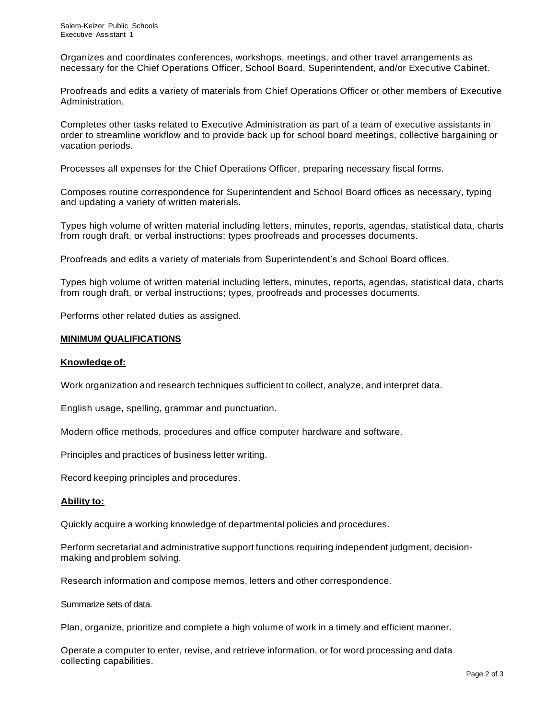Organizes and coordinates conferences, workshops, meetings, and other travel arrangements as necessary for the Chief Operations Officer, School Board, Superintendent, and/or Executive Cabinet.

Proofreads and edits a variety of materials from Chief Operations Officer or other members of Executive Administration.

Completes other tasks related to Executive Administration as part of a team of executive assistants in order to streamline workflow and to provide back up for school board meetings, collective bargaining or vacation periods.

Processes all expenses for the Chief Operations Officer, preparing necessary fiscal forms.

Composes routine correspondence for Superintendent and School Board offices as necessary, typing and updating a variety of written materials.

Types high volume of written material including letters, minutes, reports, agendas, statistical data, charts from rough draft, or verbal instructions; types proofreads and processes documents.

Proofreads and edits a variety of materials from Superintendent's and School Board offices.

Types high volume of written material including letters, minutes, reports, agendas, statistical data, charts from rough draft, or verbal instructions; types, proofreads and processes documents.

Performs other related duties as assigned.

## **MINIMUM QUALIFICATIONS**

## **Knowledge of:**

Work organization and research techniques sufficient to collect, analyze, and interpret data.

English usage, spelling, grammar and punctuation.

Modern office methods, procedures and office computer hardware and software.

Principles and practices of business letter writing.

Record keeping principles and procedures.

## **Ability to:**

Quickly acquire a working knowledge of departmental policies and procedures.

Perform secretarial and administrative support functions requiring independent judgment, decisionmaking and problem solving.

Research information and compose memos, letters and other correspondence.

Summarize sets of data.

Plan, organize, prioritize and complete a high volume of work in a timely and efficient manner.

Operate a computer to enter, revise, and retrieve information, or for word processing and data collecting capabilities.